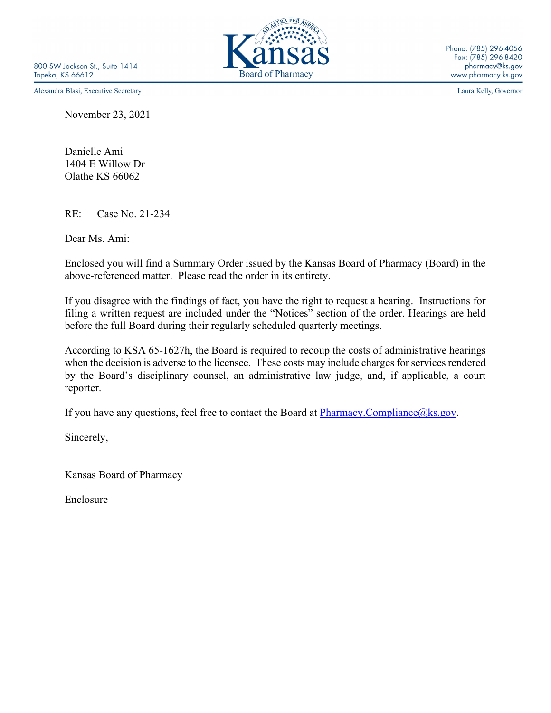Alexandra Blasi, Executive Secretary

November 23, 2021

Danielle Ami 1404 E Willow Dr Olathe KS 66062

RE: Case No. 21-234

Dear Ms. Ami:

Enclosed you will find a Summary Order issued by the Kansas Board of Pharmacy (Board) in the above-referenced matter. Please read the order in its entirety.

If you disagree with the findings of fact, you have the right to request a hearing. Instructions for filing a written request are included under the "Notices" section of the order. Hearings are held before the full Board during their regularly scheduled quarterly meetings.

According to KSA 65-1627h, the Board is required to recoup the costs of administrative hearings when the decision is adverse to the licensee. These costs may include charges for services rendered by the Board's disciplinary counsel, an administrative law judge, and, if applicable, a court reporter.

If you have any questions, feel free to contact the Board at  $\frac{Pharmacy. Compliance@ks.gov.}{}$ 

Sincerely,

Kansas Board of Pharmacy

Enclosure



Laura Kelly, Governor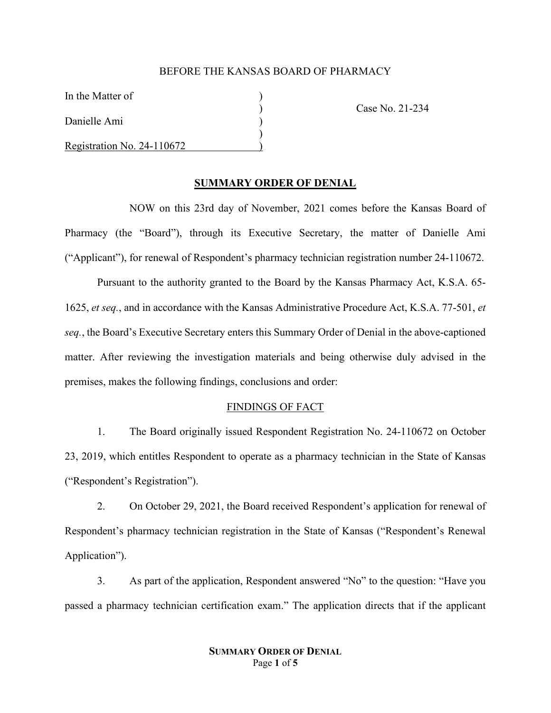#### BEFORE THE KANSAS BOARD OF PHARMACY

In the Matter of

Danielle Ami )

Registration No. 24-110672 )

) Case No. 21-234

## **SUMMARY ORDER OF DENIAL**

)

NOW on this 23rd day of November, 2021 comes before the Kansas Board of Pharmacy (the "Board"), through its Executive Secretary, the matter of Danielle Ami ("Applicant"), for renewal of Respondent's pharmacy technician registration number 24-110672.

Pursuant to the authority granted to the Board by the Kansas Pharmacy Act, K.S.A. 65- 1625, *et seq.*, and in accordance with the Kansas Administrative Procedure Act, K.S.A. 77-501, *et seq.*, the Board's Executive Secretary enters this Summary Order of Denial in the above-captioned matter. After reviewing the investigation materials and being otherwise duly advised in the premises, makes the following findings, conclusions and order:

#### FINDINGS OF FACT

1. The Board originally issued Respondent Registration No. 24-110672 on October 23, 2019, which entitles Respondent to operate as a pharmacy technician in the State of Kansas ("Respondent's Registration").

2. On October 29, 2021, the Board received Respondent's application for renewal of Respondent's pharmacy technician registration in the State of Kansas ("Respondent's Renewal Application").

3. As part of the application, Respondent answered "No" to the question: "Have you passed a pharmacy technician certification exam." The application directs that if the applicant

# **SUMMARY ORDER OF DENIAL** Page **1** of **5**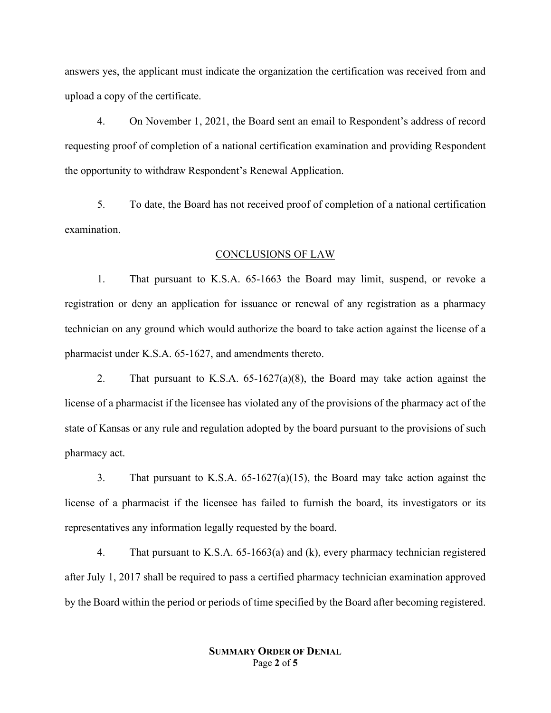answers yes, the applicant must indicate the organization the certification was received from and upload a copy of the certificate.

4. On November 1, 2021, the Board sent an email to Respondent's address of record requesting proof of completion of a national certification examination and providing Respondent the opportunity to withdraw Respondent's Renewal Application.

5. To date, the Board has not received proof of completion of a national certification examination.

## CONCLUSIONS OF LAW

1. That pursuant to K.S.A. 65-1663 the Board may limit, suspend, or revoke a registration or deny an application for issuance or renewal of any registration as a pharmacy technician on any ground which would authorize the board to take action against the license of a pharmacist under K.S.A. 65-1627, and amendments thereto.

2. That pursuant to K.S.A. 65-1627(a)(8), the Board may take action against the license of a pharmacist if the licensee has violated any of the provisions of the pharmacy act of the state of Kansas or any rule and regulation adopted by the board pursuant to the provisions of such pharmacy act.

3. That pursuant to K.S.A. 65-1627(a)(15), the Board may take action against the license of a pharmacist if the licensee has failed to furnish the board, its investigators or its representatives any information legally requested by the board.

4. That pursuant to K.S.A. 65-1663(a) and (k), every pharmacy technician registered after July 1, 2017 shall be required to pass a certified pharmacy technician examination approved by the Board within the period or periods of time specified by the Board after becoming registered.

## **SUMMARY ORDER OF DENIAL** Page **2** of **5**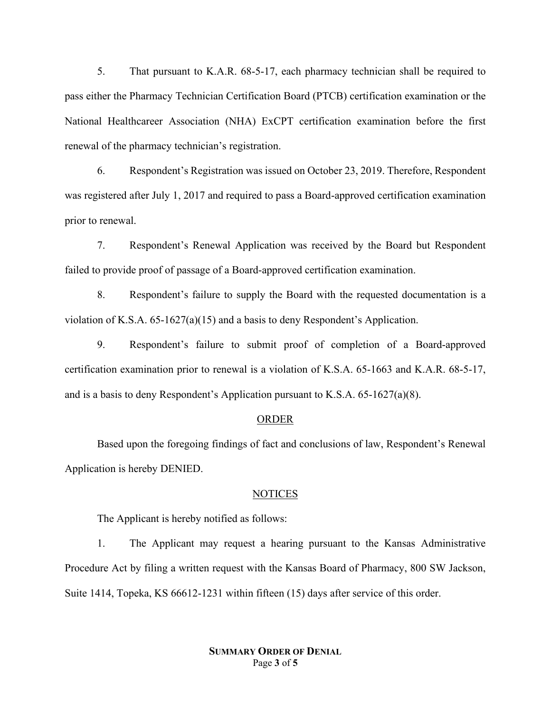5. That pursuant to K.A.R. 68-5-17, each pharmacy technician shall be required to pass either the Pharmacy Technician Certification Board (PTCB) certification examination or the National Healthcareer Association (NHA) ExCPT certification examination before the first renewal of the pharmacy technician's registration.

6. Respondent's Registration was issued on October 23, 2019. Therefore, Respondent was registered after July 1, 2017 and required to pass a Board-approved certification examination prior to renewal.

7. Respondent's Renewal Application was received by the Board but Respondent failed to provide proof of passage of a Board-approved certification examination.

8. Respondent's failure to supply the Board with the requested documentation is a violation of K.S.A.  $65$ -1627(a)(15) and a basis to deny Respondent's Application.

9. Respondent's failure to submit proof of completion of a Board-approved certification examination prior to renewal is a violation of K.S.A. 65-1663 and K.A.R. 68-5-17, and is a basis to deny Respondent's Application pursuant to K.S.A.  $65-1627(a)(8)$ .

#### ORDER

Based upon the foregoing findings of fact and conclusions of law, Respondent's Renewal Application is hereby DENIED.

#### NOTICES

The Applicant is hereby notified as follows:

1. The Applicant may request a hearing pursuant to the Kansas Administrative Procedure Act by filing a written request with the Kansas Board of Pharmacy, 800 SW Jackson, Suite 1414, Topeka, KS 66612-1231 within fifteen (15) days after service of this order.

> **SUMMARY ORDER OF DENIAL** Page **3** of **5**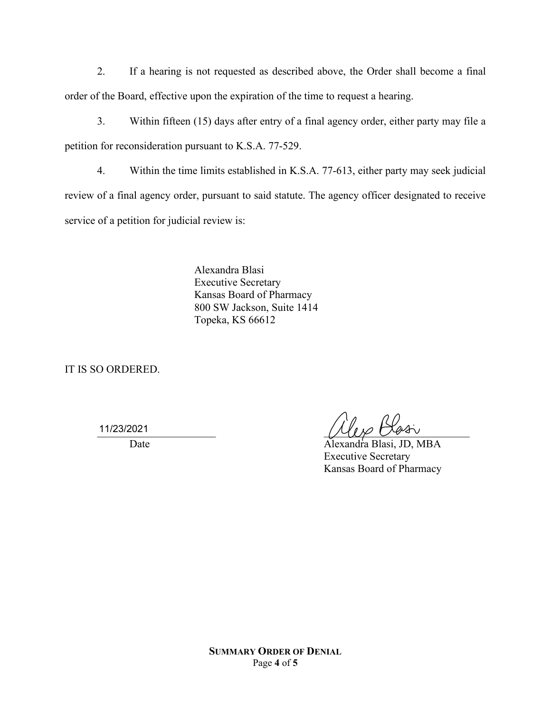2. If a hearing is not requested as described above, the Order shall become a final order of the Board, effective upon the expiration of the time to request a hearing.

3. Within fifteen (15) days after entry of a final agency order, either party may file a petition for reconsideration pursuant to K.S.A. 77-529.

4. Within the time limits established in K.S.A. 77-613, either party may seek judicial review of a final agency order, pursuant to said statute. The agency officer designated to receive service of a petition for judicial review is:

> Alexandra Blasi Executive Secretary Kansas Board of Pharmacy 800 SW Jackson, Suite 1414 Topeka, KS 66612

IT IS SO ORDERED.

11/23/2021

 $\frac{11}{2322021}$ 

Date Alexandra Blasi, JD, MBA Executive Secretary Kansas Board of Pharmacy

**SUMMARY ORDER OF DENIAL** Page **4** of **5**